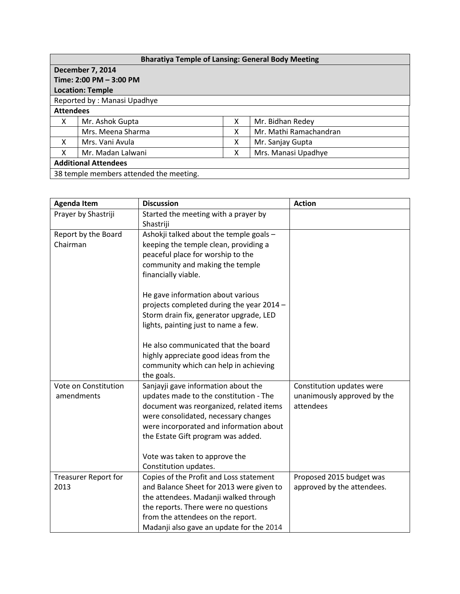| <b>Bharatiya Temple of Lansing: General Body Meeting</b> |                   |   |                        |  |  |  |
|----------------------------------------------------------|-------------------|---|------------------------|--|--|--|
| <b>December 7, 2014</b>                                  |                   |   |                        |  |  |  |
| Time: 2:00 PM - 3:00 PM                                  |                   |   |                        |  |  |  |
| <b>Location: Temple</b>                                  |                   |   |                        |  |  |  |
| Reported by: Manasi Upadhye                              |                   |   |                        |  |  |  |
| <b>Attendees</b>                                         |                   |   |                        |  |  |  |
| X                                                        | Mr. Ashok Gupta   | x | Mr. Bidhan Redey       |  |  |  |
|                                                          | Mrs. Meena Sharma | x | Mr. Mathi Ramachandran |  |  |  |
| x                                                        | Mrs. Vani Avula   | x | Mr. Sanjay Gupta       |  |  |  |
| X                                                        | Mr. Madan Lalwani | х | Mrs. Manasi Upadhye    |  |  |  |
| <b>Additional Attendees</b>                              |                   |   |                        |  |  |  |
| 38 temple members attended the meeting.                  |                   |   |                        |  |  |  |

| <b>Agenda Item</b>              | <b>Discussion</b>                                                                | <b>Action</b>               |
|---------------------------------|----------------------------------------------------------------------------------|-----------------------------|
| Prayer by Shastriji             | Started the meeting with a prayer by<br>Shastriji                                |                             |
| Report by the Board<br>Chairman | Ashokji talked about the temple goals -<br>keeping the temple clean, providing a |                             |
|                                 | peaceful place for worship to the                                                |                             |
|                                 | community and making the temple<br>financially viable.                           |                             |
|                                 | He gave information about various                                                |                             |
|                                 | projects completed during the year 2014 -                                        |                             |
|                                 | Storm drain fix, generator upgrade, LED<br>lights, painting just to name a few.  |                             |
|                                 |                                                                                  |                             |
|                                 | He also communicated that the board                                              |                             |
|                                 | highly appreciate good ideas from the                                            |                             |
|                                 | community which can help in achieving<br>the goals.                              |                             |
| Vote on Constitution            | Sanjayji gave information about the                                              | Constitution updates were   |
| amendments                      | updates made to the constitution - The                                           | unanimously approved by the |
|                                 | document was reorganized, related items                                          | attendees                   |
|                                 | were consolidated, necessary changes                                             |                             |
|                                 | were incorporated and information about<br>the Estate Gift program was added.    |                             |
|                                 |                                                                                  |                             |
|                                 | Vote was taken to approve the                                                    |                             |
|                                 | Constitution updates.                                                            |                             |
| <b>Treasurer Report for</b>     | Copies of the Profit and Loss statement                                          | Proposed 2015 budget was    |
| 2013                            | and Balance Sheet for 2013 were given to                                         | approved by the attendees.  |
|                                 | the attendees. Madanji walked through<br>the reports. There were no questions    |                             |
|                                 | from the attendees on the report.                                                |                             |
|                                 | Madanji also gave an update for the 2014                                         |                             |